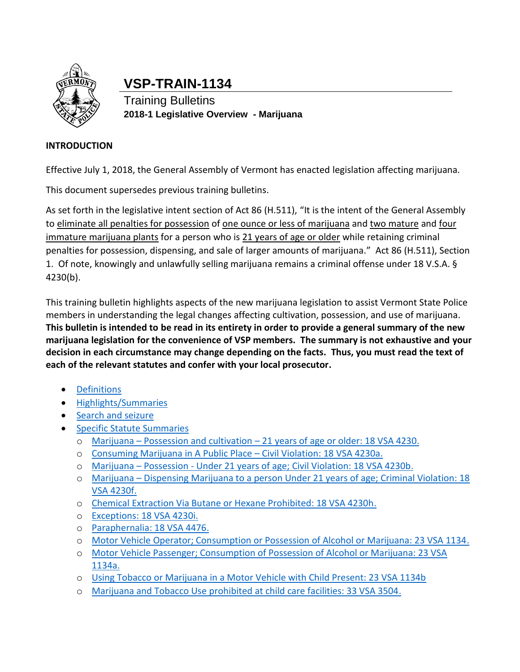

## **VSP-TRAIN-1134**

Training Bulletins **2018-1 Legislative Overview - Marijuana**

#### **INTRODUCTION**

Effective July 1, 2018, the General Assembly of Vermont has enacted legislation affecting marijuana.

This document supersedes previous training bulletins.

As set forth in the legislative intent section of Act 86 (H.511), "It is the intent of the General Assembly to eliminate all penalties for possession of one ounce or less of marijuana and two mature and four immature marijuana plants for a person who is 21 years of age or older while retaining criminal penalties for possession, dispensing, and sale of larger amounts of marijuana." Act 86 (H.511), Section 1. Of note, knowingly and unlawfully selling marijuana remains a criminal offense under 18 V.S.A. § 4230(b).

This training bulletin highlights aspects of the new marijuana legislation to assist Vermont State Police members in understanding the legal changes affecting cultivation, possession, and use of marijuana. **This bulletin is intended to be read in its entirety in order to provide a general summary of the new marijuana legislation for the convenience of VSP members. The summary is not exhaustive and your decision in each circumstance may change depending on the facts. Thus, you must read the text of each of the relevant statutes and confer with your local prosecutor.**

- **[Definitions](#page-1-0)**
- **•** [Highlights/Summaries](#page-1-1)
- [Search and seizure](#page-4-0)
- [Specific Statute Summaries](#page-5-0)
	- $\circ$  Marijuana Possession and cultivation [21 years of age or older: 18 VSA 4230.](#page-5-1)
	- o [Consuming Marijuana in A Public Place](#page-6-0)  Civil Violation: 18 VSA 4230a.
	- o Marijuana Possession [Under 21 years of age; Civil Violation: 18 VSA 4230b.](#page-6-1)
	- o Marijuana [Dispensing Marijuana to a person Under 21 years of age; Criminal Violation: 18](#page-6-2)  [VSA 4230f.](#page-6-2)
	- o [Chemical Extraction Via Butane or Hexane Prohibited: 18 VSA 4230h.](#page-7-0)
	- o [Exceptions: 18 VSA 4230i.](#page-7-1)
	- o [Paraphernalia: 18 VSA 4476.](#page-7-2)
	- o [Motor Vehicle Operator; Consumption or Possession of Alcohol or Marijuana: 23 VSA 1134.](#page-7-3)
	- o [Motor Vehicle Passenger; Consumption of Possession of Alcohol or Marijuana: 23 VSA](#page-8-0)  [1134a.](#page-8-0)
	- o [Using Tobacco or Marijuana in a Motor Vehicle with Child Present: 23 VSA 1134b](#page-8-1)
	- o [Marijuana and Tobacco Use prohibited at child care facilities: 33 VSA 3504.](#page-8-2)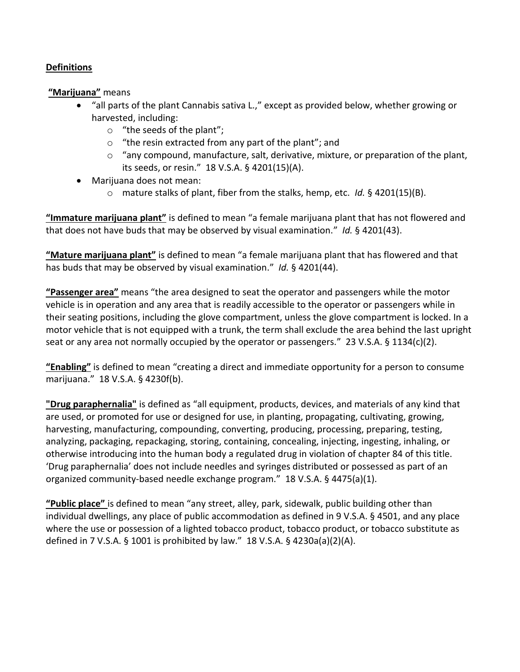#### <span id="page-1-0"></span>**Definitions**

**"Marijuana"** means

- "all parts of the plant Cannabis sativa L.," except as provided below, whether growing or harvested, including:
	- o "the seeds of the plant";
	- o "the resin extracted from any part of the plant"; and
	- $\circ$  "any compound, manufacture, salt, derivative, mixture, or preparation of the plant, its seeds, or resin." 18 V.S.A. § 4201(15)(A).
- Marijuana does not mean:
	- o mature stalks of plant, fiber from the stalks, hemp, etc. *Id.* § 4201(15)(B).

**"Immature marijuana plant"** is defined to mean "a female marijuana plant that has not flowered and that does not have buds that may be observed by visual examination." *Id.* § 4201(43).

**"Mature marijuana plant"** is defined to mean "a female marijuana plant that has flowered and that has buds that may be observed by visual examination." *Id.* § 4201(44).

**"Passenger area"** means "the area designed to seat the operator and passengers while the motor vehicle is in operation and any area that is readily accessible to the operator or passengers while in their seating positions, including the glove compartment, unless the glove compartment is locked. In a motor vehicle that is not equipped with a trunk, the term shall exclude the area behind the last upright seat or any area not normally occupied by the operator or passengers." 23 V.S.A.  $\S$  1134(c)(2).

**"Enabling"** is defined to mean "creating a direct and immediate opportunity for a person to consume marijuana." 18 V.S.A. § 4230f(b).

**"Drug paraphernalia"** is defined as "all equipment, products, devices, and materials of any kind that are used, or promoted for use or designed for use, in planting, propagating, cultivating, growing, harvesting, manufacturing, compounding, converting, producing, processing, preparing, testing, analyzing, packaging, repackaging, storing, containing, concealing, injecting, ingesting, inhaling, or otherwise introducing into the human body a regulated drug in violation of chapter 84 of this title. 'Drug paraphernalia' does not include needles and syringes distributed or possessed as part of an organized community-based needle exchange program." 18 V.S.A. § 4475(a)(1).

<span id="page-1-1"></span>**"Public place"** is defined to mean "any street, alley, park, sidewalk, public building other than individual dwellings, any place of public accommodation as defined in 9 V.S.A. § 4501, and any place where the use or possession of a lighted tobacco product, tobacco product, or tobacco substitute as defined in 7 V.S.A. § 1001 is prohibited by law." 18 V.S.A. § 4230a(a)(2)(A).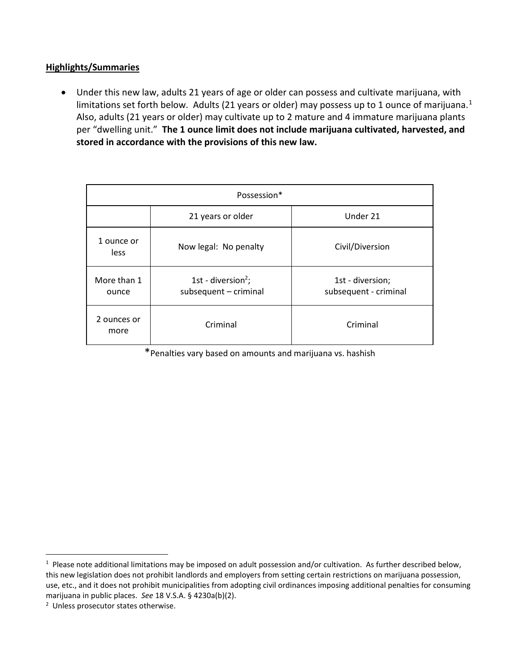#### **Highlights/Summaries**

 Under this new law, adults 21 years of age or older can possess and cultivate marijuana, with limitations set forth below. Adults (21 years or older) may possess up to 1 ounce of marijuana.<sup>1</sup> Also, adults (21 years or older) may cultivate up to 2 mature and 4 immature marijuana plants per "dwelling unit." **The 1 ounce limit does not include marijuana cultivated, harvested, and stored in accordance with the provisions of this new law.**

| Possession*               |                                                         |                                           |  |  |  |  |
|---------------------------|---------------------------------------------------------|-------------------------------------------|--|--|--|--|
|                           | 21 years or older                                       | Under 21                                  |  |  |  |  |
| 1 ounce or<br><b>less</b> | Now legal: No penalty                                   | Civil/Diversion                           |  |  |  |  |
| More than 1<br>ounce      | 1st - diversion <sup>2</sup> ;<br>subsequent - criminal | 1st - diversion;<br>subsequent - criminal |  |  |  |  |
| 2 ounces or<br>more       | Criminal                                                | Criminal                                  |  |  |  |  |

\*Penalties vary based on amounts and marijuana vs. hashish

l

 $1$  Please note additional limitations may be imposed on adult possession and/or cultivation. As further described below, this new legislation does not prohibit landlords and employers from setting certain restrictions on marijuana possession, use, etc., and it does not prohibit municipalities from adopting civil ordinances imposing additional penalties for consuming marijuana in public places. *See* 18 V.S.A. § 4230a(b)(2).

<sup>&</sup>lt;sup>2</sup> Unless prosecutor states otherwise.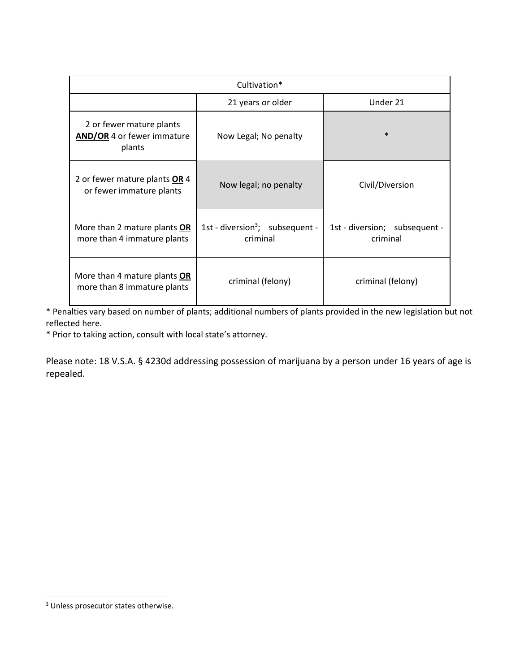| Cultivation*                                                     |                                                                                                      |                   |  |  |  |  |
|------------------------------------------------------------------|------------------------------------------------------------------------------------------------------|-------------------|--|--|--|--|
|                                                                  | 21 years or older                                                                                    | Under 21          |  |  |  |  |
| 2 or fewer mature plants<br>AND/OR 4 or fewer immature<br>plants | Now Legal; No penalty                                                                                | $\ast$            |  |  |  |  |
| 2 or fewer mature plants OR 4<br>or fewer immature plants        | Now legal; no penalty                                                                                | Civil/Diversion   |  |  |  |  |
| More than 2 mature plants OR<br>more than 4 immature plants      | 1st - diversion <sup>3</sup> ; subsequent -<br>1st - diversion; subsequent -<br>criminal<br>criminal |                   |  |  |  |  |
| More than 4 mature plants OR<br>more than 8 immature plants      | criminal (felony)                                                                                    | criminal (felony) |  |  |  |  |

\* Penalties vary based on number of plants; additional numbers of plants provided in the new legislation but not reflected here.

\* Prior to taking action, consult with local state's attorney.

Please note: 18 V.S.A. § 4230d addressing possession of marijuana by a person under 16 years of age is repealed.

 $\overline{\phantom{a}}$ 

<sup>&</sup>lt;sup>3</sup> Unless prosecutor states otherwise.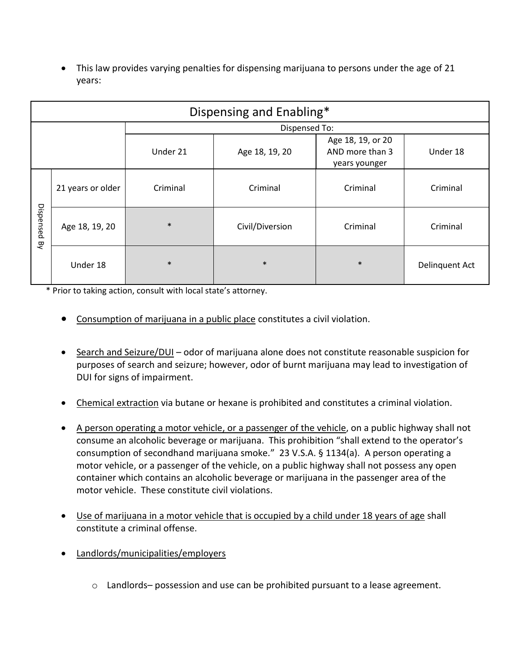This law provides varying penalties for dispensing marijuana to persons under the age of 21 years:

| Dispensing and Enabling* |                   |               |                 |                                                       |                |  |  |  |
|--------------------------|-------------------|---------------|-----------------|-------------------------------------------------------|----------------|--|--|--|
|                          |                   | Dispensed To: |                 |                                                       |                |  |  |  |
|                          |                   | Under 21      | Age 18, 19, 20  | Age 18, 19, or 20<br>AND more than 3<br>years younger | Under 18       |  |  |  |
| Dispensed<br>ዴ           | 21 years or older | Criminal      | Criminal        | Criminal                                              | Criminal       |  |  |  |
|                          | Age 18, 19, 20    | $\ast$        | Civil/Diversion | Criminal                                              | Criminal       |  |  |  |
|                          | Under 18          | $\ast$        | $\ast$          | $\ast$                                                | Delinquent Act |  |  |  |

\* Prior to taking action, consult with local state's attorney.

- Consumption of marijuana in a public place constitutes a civil violation.
- <span id="page-4-0"></span>• Search and Seizure/DUI – odor of marijuana alone does not constitute reasonable suspicion for purposes of search and seizure; however, odor of burnt marijuana may lead to investigation of DUI for signs of impairment.
- Chemical extraction via butane or hexane is prohibited and constitutes a criminal violation.
- A person operating a motor vehicle, or a passenger of the vehicle, on a public highway shall not consume an alcoholic beverage or marijuana. This prohibition "shall extend to the operator's consumption of secondhand marijuana smoke." 23 V.S.A. § 1134(a). A person operating a motor vehicle, or a passenger of the vehicle, on a public highway shall not possess any open container which contains an alcoholic beverage or marijuana in the passenger area of the motor vehicle. These constitute civil violations.
- Use of marijuana in a motor vehicle that is occupied by a child under 18 years of age shall constitute a criminal offense.
- Landlords/municipalities/employers
	- $\circ$  Landlords– possession and use can be prohibited pursuant to a lease agreement.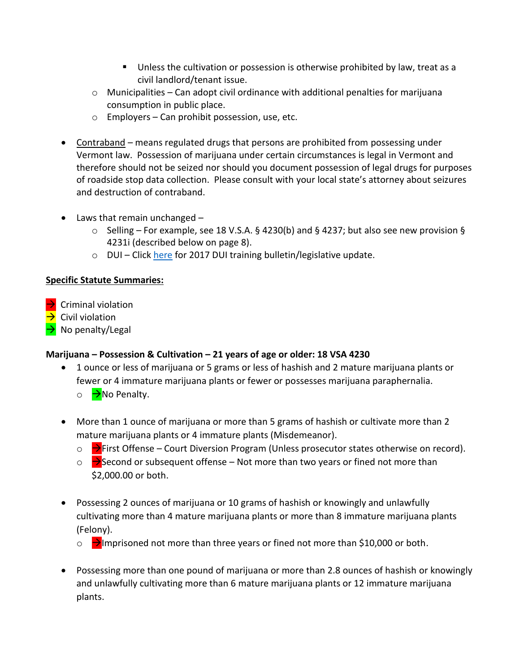- Unless the cultivation or possession is otherwise prohibited by law, treat as a civil landlord/tenant issue.
- $\circ$  Municipalities Can adopt civil ordinance with additional penalties for marijuana consumption in public place.
- o Employers Can prohibit possession, use, etc.
- Contraband means regulated drugs that persons are prohibited from possessing under Vermont law. Possession of marijuana under certain circumstances is legal in Vermont and therefore should not be seized nor should you document possession of legal drugs for purposes of roadside stop data collection. Please consult with your local state's attorney about seizures and destruction of contraband.
- Laws that remain unchanged
	- $\circ$  Selling For example, see 18 V.S.A. § 4230(b) and § 4237; but also see new provision § 4231i (described below on page 8).
	- $\circ$  DUI Clic[k here](http://vibrs.dps.state.vt.us/vspregs/dpsforms/PDF%20-%20H.%20503%20final%20draft%20guidance%20and%20chart%20081517.pdf) for 2017 DUI training bulletin/legislative update.

#### <span id="page-5-0"></span>**Specific Statute Summaries:**

- $\rightarrow$  Criminal violation
- $\rightarrow$  Civil violation
- $\rightarrow$  No penalty/Legal

#### <span id="page-5-1"></span>**Marijuana – Possession & Cultivation – 21 years of age or older: 18 VSA 4230**

- 1 ounce or less of marijuana or 5 grams or less of hashish and 2 mature marijuana plants or fewer or 4 immature marijuana plants or fewer or possesses marijuana paraphernalia.
	- o → No Penalty.
- More than 1 ounce of marijuana or more than 5 grams of hashish or cultivate more than 2 mature marijuana plants or 4 immature plants (Misdemeanor).
	- $\circ \rightarrow$  First Offense Court Diversion Program (Unless prosecutor states otherwise on record).
	- $\circ$   $\rightarrow$  Second or subsequent offense Not more than two years or fined not more than \$2,000.00 or both.
- Possessing 2 ounces of marijuana or 10 grams of hashish or knowingly and unlawfully cultivating more than 4 mature marijuana plants or more than 8 immature marijuana plants (Felony).
	- $\circ$   $\rightarrow$  Imprisoned not more than three years or fined not more than \$10,000 or both.
- Possessing more than one pound of marijuana or more than 2.8 ounces of hashish or knowingly and unlawfully cultivating more than 6 mature marijuana plants or 12 immature marijuana plants.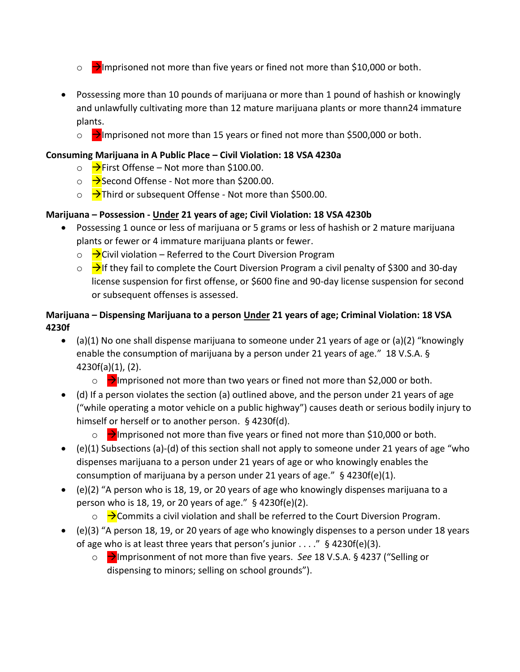- $\circ$   $\rightarrow$  Imprisoned not more than five years or fined not more than \$10,000 or both.
- Possessing more than 10 pounds of marijuana or more than 1 pound of hashish or knowingly and unlawfully cultivating more than 12 mature marijuana plants or more thann24 immature plants.
	- $\circ$   $\rightarrow$  Imprisoned not more than 15 years or fined not more than \$500,000 or both.

#### <span id="page-6-0"></span>**Consuming Marijuana in A Public Place – Civil Violation: 18 VSA 4230a**

- $\circ$   $\rightarrow$  First Offense Not more than \$100.00.
- o → Second Offense Not more than \$200.00.
- $\circ$   $\rightarrow$  Third or subsequent Offense Not more than \$500.00.

#### <span id="page-6-1"></span>**Marijuana – Possession - Under 21 years of age; Civil Violation: 18 VSA 4230b**

- Possessing 1 ounce or less of marijuana or 5 grams or less of hashish or 2 mature marijuana plants or fewer or 4 immature marijuana plants or fewer.
	- $\circ$   $\rightarrow$  Civil violation Referred to the Court Diversion Program
	- $\circ$   $\rightarrow$  If they fail to complete the Court Diversion Program a civil penalty of \$300 and 30-day license suspension for first offense, or \$600 fine and 90-day license suspension for second or subsequent offenses is assessed.

#### <span id="page-6-2"></span>**Marijuana – Dispensing Marijuana to a person Under 21 years of age; Criminal Violation: 18 VSA 4230f**

- (a)(1) No one shall dispense marijuana to someone under 21 years of age or (a)(2) "knowingly enable the consumption of marijuana by a person under 21 years of age." 18 V.S.A. § 4230f(a)(1), (2).
	- $\circ$   $\rightarrow$  Imprisoned not more than two years or fined not more than \$2,000 or both.
- (d) If a person violates the section (a) outlined above, and the person under 21 years of age ("while operating a motor vehicle on a public highway") causes death or serious bodily injury to himself or herself or to another person. § 4230f(d).
	- $\circ$   $\rightarrow$  Imprisoned not more than five years or fined not more than \$10,000 or both.
- $\bullet$  (e)(1) Subsections (a)-(d) of this section shall not apply to someone under 21 years of age "who dispenses marijuana to a person under 21 years of age or who knowingly enables the consumption of marijuana by a person under 21 years of age." § 4230f(e)(1).
- (e)(2) "A person who is 18, 19, or 20 years of age who knowingly dispenses marijuana to a person who is 18, 19, or 20 years of age." § 4230f(e)(2).
	- $\circ \quad \rightarrow$  Commits a civil violation and shall be referred to the Court Diversion Program.
- (e)(3) "A person 18, 19, or 20 years of age who knowingly dispenses to a person under 18 years of age who is at least three years that person's junior . . . ." § 4230f(e)(3).
	- o Imprisonment of not more than five years. *See* 18 V.S.A. § 4237 ("Selling or dispensing to minors; selling on school grounds").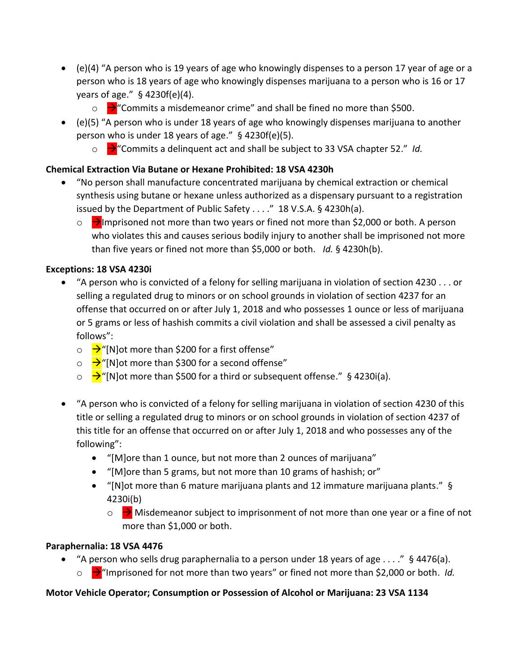- (e)(4) "A person who is 19 years of age who knowingly dispenses to a person 17 year of age or a person who is 18 years of age who knowingly dispenses marijuana to a person who is 16 or 17 years of age." § 4230f(e)(4).
	- $\circ$   $\rightarrow$  "Commits a misdemeanor crime" and shall be fined no more than \$500.
- (e)(5) "A person who is under 18 years of age who knowingly dispenses marijuana to another person who is under 18 years of age." § 4230f(e)(5).
	- o → "Commits a delinquent act and shall be subject to 33 VSA chapter 52." *Id.*

#### <span id="page-7-0"></span>**Chemical Extraction Via Butane or Hexane Prohibited: 18 VSA 4230h**

- "No person shall manufacture concentrated marijuana by chemical extraction or chemical synthesis using butane or hexane unless authorized as a dispensary pursuant to a registration issued by the Department of Public Safety . . . ." 18 V.S.A. § 4230h(a).
	- $\circ$   $\rightarrow$  Imprisoned not more than two years or fined not more than \$2,000 or both. A person who violates this and causes serious bodily injury to another shall be imprisoned not more than five years or fined not more than \$5,000 or both. *Id.* § 4230h(b).

#### <span id="page-7-1"></span>**Exceptions: 18 VSA 4230i**

- "A person who is convicted of a felony for selling marijuana in violation of section 4230 . . . or selling a regulated drug to minors or on school grounds in violation of section 4237 for an offense that occurred on or after July 1, 2018 and who possesses 1 ounce or less of marijuana or 5 grams or less of hashish commits a civil violation and shall be assessed a civil penalty as follows":
	- $\circ$   $\rightarrow$  "[N]ot more than \$200 for a first offense"
	- $\circ$   $\rightarrow$  "[N]ot more than \$300 for a second offense"
	- $\circ$   $\rightarrow$  "[N]ot more than \$500 for a third or subsequent offense." § 4230i(a).
- "A person who is convicted of a felony for selling marijuana in violation of section 4230 of this title or selling a regulated drug to minors or on school grounds in violation of section 4237 of this title for an offense that occurred on or after July 1, 2018 and who possesses any of the following":
	- "[M]ore than 1 ounce, but not more than 2 ounces of marijuana"
	- "[M]ore than 5 grams, but not more than 10 grams of hashish; or"
	- "[N]ot more than 6 mature marijuana plants and 12 immature marijuana plants." § 4230i(b)
		- $\circ$   $\rightarrow$  Misdemeanor subject to imprisonment of not more than one year or a fine of not more than \$1,000 or both.

#### <span id="page-7-2"></span>**Paraphernalia: 18 VSA 4476**

"A person who sells drug paraphernalia to a person under 18 years of age  $\dots$ ." § 4476(a). o → "Imprisoned for not more than two years" or fined not more than \$2,000 or both. *Id.* 

### <span id="page-7-3"></span>**Motor Vehicle Operator; Consumption or Possession of Alcohol or Marijuana: 23 VSA 1134**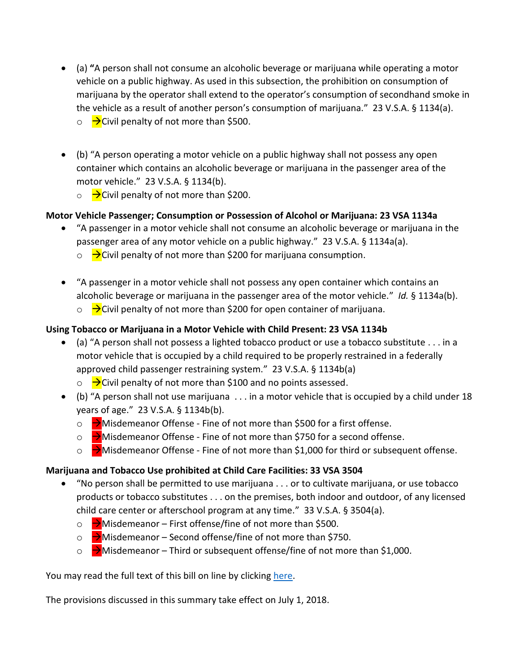(a) **"**A person shall not consume an alcoholic beverage or marijuana while operating a motor vehicle on a public highway. As used in this subsection, the prohibition on consumption of marijuana by the operator shall extend to the operator's consumption of secondhand smoke in the vehicle as a result of another person's consumption of marijuana." 23 V.S.A. § 1134(a).

 $\circ$   $\rightarrow$  Civil penalty of not more than \$500.

- (b) "A person operating a motor vehicle on a public highway shall not possess any open container which contains an alcoholic beverage or marijuana in the passenger area of the motor vehicle." 23 V.S.A. § 1134(b).
	- $\circ$   $\rightarrow$  Civil penalty of not more than \$200.

#### <span id="page-8-0"></span>**Motor Vehicle Passenger; Consumption or Possession of Alcohol or Marijuana: 23 VSA 1134a**

- "A passenger in a motor vehicle shall not consume an alcoholic beverage or marijuana in the passenger area of any motor vehicle on a public highway." 23 V.S.A. § 1134a(a).
	- $\circ$   $\rightarrow$  Civil penalty of not more than \$200 for marijuana consumption.
- "A passenger in a motor vehicle shall not possess any open container which contains an alcoholic beverage or marijuana in the passenger area of the motor vehicle." *Id.* § 1134a(b).
	- $\circ$   $\rightarrow$  Civil penalty of not more than \$200 for open container of marijuana.

#### <span id="page-8-1"></span>**Using Tobacco or Marijuana in a Motor Vehicle with Child Present: 23 VSA 1134b**

- $\bullet$  (a) "A person shall not possess a lighted tobacco product or use a tobacco substitute . . . in a motor vehicle that is occupied by a child required to be properly restrained in a federally approved child passenger restraining system." 23 V.S.A. § 1134b(a)
	- $\circ$   $\rightarrow$  Civil penalty of not more than \$100 and no points assessed.
- $\bullet$  (b) "A person shall not use marijuana . . . in a motor vehicle that is occupied by a child under 18 years of age." 23 V.S.A. § 1134b(b).
	- $\circ$   $\rightarrow$  Misdemeanor Offense Fine of not more than \$500 for a first offense.
	- $\circ \rightarrow$  Misdemeanor Offense Fine of not more than \$750 for a second offense.
	- $\circ \rightarrow$  Misdemeanor Offense Fine of not more than \$1,000 for third or subsequent offense.

#### <span id="page-8-2"></span>**Marijuana and Tobacco Use prohibited at Child Care Facilities: 33 VSA 3504**

- "No person shall be permitted to use marijuana . . . or to cultivate marijuana, or use tobacco products or tobacco substitutes . . . on the premises, both indoor and outdoor, of any licensed child care center or afterschool program at any time." 33 V.S.A. § 3504(a).
	- $\circ$   $\rightarrow$  Misdemeanor First offense/fine of not more than \$500.
	- $\circ$   $\rightarrow$  Misdemeanor Second offense/fine of not more than \$750.
	- $\circ$   $\rightarrow$  Misdemeanor Third or subsequent offense/fine of not more than \$1,000.

You may read the full text of this bill on line by clicking [here.](https://legislature.vermont.gov/assets/Documents/2018/Docs/ACTS/ACT086/ACT086%20As%20Enacted.pdf)

The provisions discussed in this summary take effect on July 1, 2018.